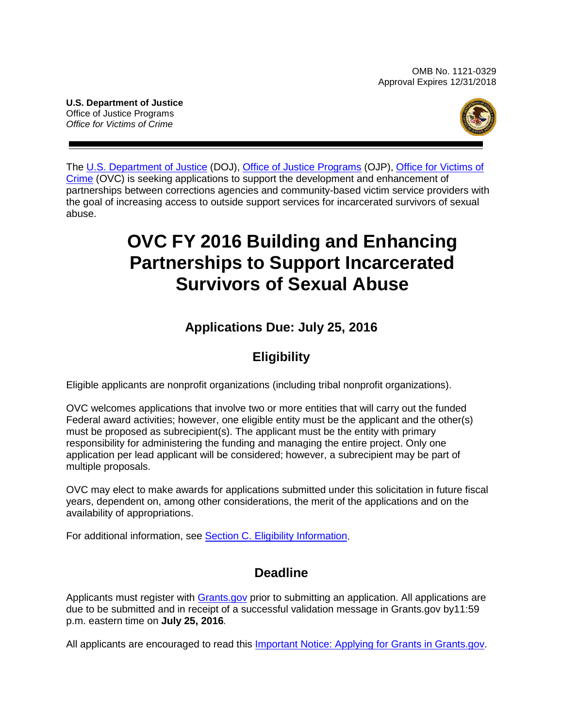OMB No. 1121-0329 Approval Expires 12/31/2018

**U.S. Department of Justice** Office of Justice Programs *Office for Victims of Crime*



The [U.S. Department of Justice](http://www.usdoj.gov/) (DOJ), Office [of Justice Programs](http://www.ojp.gov/) (OJP), [Office for Victims of](http://www.ovc.gov/)  [Crime](http://www.ovc.gov/) (OVC) is seeking applications to support the development and enhancement of partnerships between corrections agencies and community-based victim service providers with the goal of increasing access to outside support services for incarcerated survivors of sexual abuse.

# **OVC FY 2016 Building and Enhancing Partnerships to Support Incarcerated Survivors of Sexual Abuse**

# **Applications Due: July 25, 2016**

# **Eligibility**

Eligible applicants are nonprofit organizations (including tribal nonprofit organizations).

OVC welcomes applications that involve two or more entities that will carry out the funded Federal award activities; however, one eligible entity must be the applicant and the other(s) must be proposed as subrecipient(s). The applicant must be the entity with primary responsibility for administering the funding and managing the entire project. Only one application per lead applicant will be considered; however, a subrecipient may be part of multiple proposals.

OVC may elect to make awards for applications submitted under this solicitation in future fiscal years, dependent on, among other considerations, the merit of the applications and on the availability of appropriations.

For additional information, see [Section C. Eligibility Information.](#page-8-0)

# **Deadline**

Applicants must register with [Grants.gov](http://www.grants.gov/applicants/apply_for_grants.jsp) prior to submitting an application. All applications are due to be submitted and in receipt of a successful validation message in Grants.gov by11:59 p.m. eastern time on **July 25, 2016***.*

All applicants are encouraged to read this [Important Notice: Applying for Grants in Grants.gov.](http://ojp.gov/funding/Apply/Grants-govInfo.htm)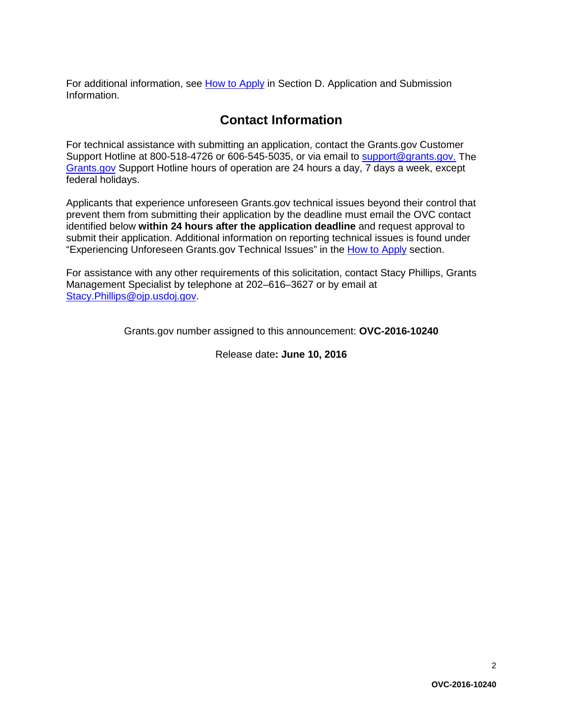For additional information, see [How to Apply](#page-20-0) in Section D. Application and Submission [Information.](#page-9-0)

## **Contact Information**

For technical assistance with submitting an application, contact the Grants.gov Customer Support Hotline at 800-518-4726 or 606-545-5035, or via email to [support@grants.gov.](mailto:support@grants.gov) The [Grants.gov](http://www.grants.gov/applicants/apply_for_grants.jsp) Support Hotline hours of operation are 24 hours a day, 7 days a week, except federal holidays.

Applicants that experience unforeseen Grants.gov technical issues beyond their control that prevent them from submitting their application by the deadline must email the OVC contact identified below **within 24 hours after the application deadline** and request approval to submit their application. Additional information on reporting technical issues is found under "Experiencing Unforeseen Grants.gov Technical Issues" in the [How to Apply](#page-20-0) section.

For assistance with any other requirements of this solicitation, contact Stacy Phillips, Grants Management Specialist by telephone at 202–616–3627 or by email at [Stacy.Phillips@ojp.usdoj.gov.](mailto:Stacy.Phillips@ojp.usdoj.gov)

Grants.gov number assigned to this announcement: **OVC-2016-10240**

Release date**: June 10, 2016**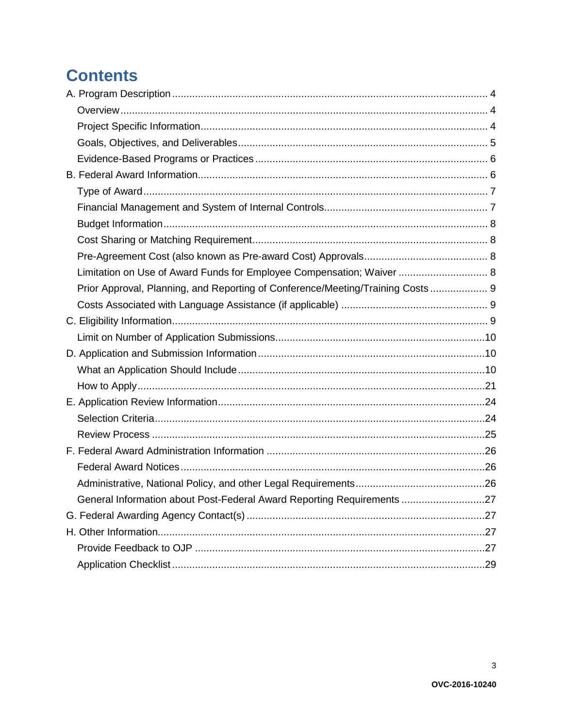# **Contents**

| Limitation on Use of Award Funds for Employee Compensation; Waiver  8          |  |
|--------------------------------------------------------------------------------|--|
| Prior Approval, Planning, and Reporting of Conference/Meeting/Training Costs 9 |  |
|                                                                                |  |
|                                                                                |  |
|                                                                                |  |
|                                                                                |  |
|                                                                                |  |
|                                                                                |  |
|                                                                                |  |
|                                                                                |  |
|                                                                                |  |
|                                                                                |  |
|                                                                                |  |
|                                                                                |  |
| General Information about Post-Federal Award Reporting Requirements 27         |  |
|                                                                                |  |
|                                                                                |  |
|                                                                                |  |
|                                                                                |  |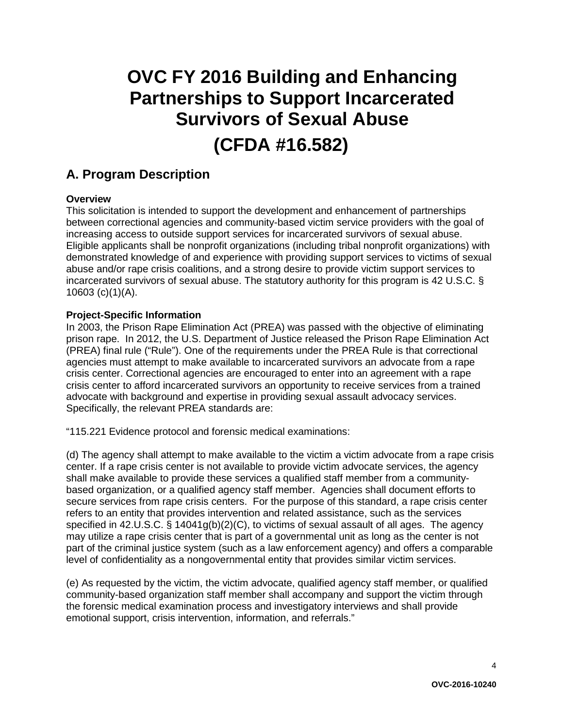# **OVC FY 2016 Building and Enhancing Partnerships to Support Incarcerated Survivors of Sexual Abuse (CFDA #16.582)**

## <span id="page-3-0"></span>**A. Program Description**

#### <span id="page-3-1"></span>**Overview**

This solicitation is intended to support the development and enhancement of partnerships between correctional agencies and community-based victim service providers with the goal of increasing access to outside support services for incarcerated survivors of sexual abuse. Eligible applicants shall be nonprofit organizations (including tribal nonprofit organizations) with demonstrated knowledge of and experience with providing support services to victims of sexual abuse and/or rape crisis coalitions, and a strong desire to provide victim support services to incarcerated survivors of sexual abuse. The statutory authority for this program is 42 U.S.C. § 10603 (c)(1)(A).

#### <span id="page-3-2"></span>**Project-Specific Information**

In 2003, the Prison Rape Elimination Act (PREA) was passed with the objective of eliminating prison rape. In 2012, the U.S. Department of Justice released the Prison Rape Elimination Act (PREA) final rule ("Rule"). One of the requirements under the PREA Rule is that correctional agencies must attempt to make available to incarcerated survivors an advocate from a rape crisis center. Correctional agencies are encouraged to enter into an agreement with a rape crisis center to afford incarcerated survivors an opportunity to receive services from a trained advocate with background and expertise in providing sexual assault advocacy services. Specifically, the relevant PREA standards are:

"115.221 Evidence protocol and forensic medical examinations:

(d) The agency shall attempt to make available to the victim a victim advocate from a rape crisis center. If a rape crisis center is not available to provide victim advocate services, the agency shall make available to provide these services a qualified staff member from a communitybased organization, or a qualified agency staff member. Agencies shall document efforts to secure services from rape crisis centers. For the purpose of this standard, a rape crisis center refers to an entity that provides intervention and related assistance, such as the services specified in 42.U.S.C. § 14041g(b)(2)(C), to victims of sexual assault of all ages. The agency may utilize a rape crisis center that is part of a governmental unit as long as the center is not part of the criminal justice system (such as a law enforcement agency) and offers a comparable level of confidentiality as a nongovernmental entity that provides similar victim services.

(e) As requested by the victim, the victim advocate, qualified agency staff member, or qualified community-based organization staff member shall accompany and support the victim through the forensic medical examination process and investigatory interviews and shall provide emotional support, crisis intervention, information, and referrals."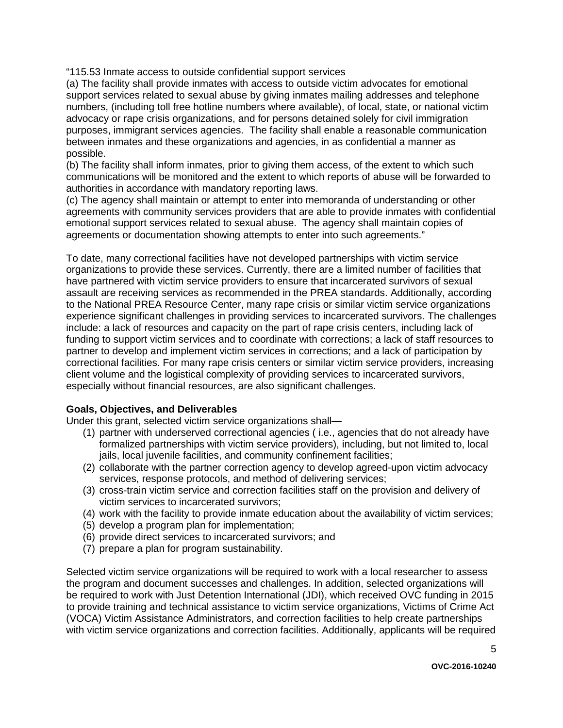"115.53 Inmate access to outside confidential support services

(a) The facility shall provide inmates with access to outside victim advocates for emotional support services related to sexual abuse by giving inmates mailing addresses and telephone numbers, (including toll free hotline numbers where available), of local, state, or national victim advocacy or rape crisis organizations, and for persons detained solely for civil immigration purposes, immigrant services agencies. The facility shall enable a reasonable communication between inmates and these organizations and agencies, in as confidential a manner as possible.

(b) The facility shall inform inmates, prior to giving them access, of the extent to which such communications will be monitored and the extent to which reports of abuse will be forwarded to authorities in accordance with mandatory reporting laws.

(c) The agency shall maintain or attempt to enter into memoranda of understanding or other agreements with community services providers that are able to provide inmates with confidential emotional support services related to sexual abuse. The agency shall maintain copies of agreements or documentation showing attempts to enter into such agreements."

To date, many correctional facilities have not developed partnerships with victim service organizations to provide these services. Currently, there are a limited number of facilities that have partnered with victim service providers to ensure that incarcerated survivors of sexual assault are receiving services as recommended in the PREA standards. Additionally, according to the National PREA Resource Center, many rape crisis or similar victim service organizations experience significant challenges in providing services to incarcerated survivors. The challenges include: a lack of resources and capacity on the part of rape crisis centers, including lack of funding to support victim services and to coordinate with corrections; a lack of staff resources to partner to develop and implement victim services in corrections; and a lack of participation by correctional facilities. For many rape crisis centers or similar victim service providers, increasing client volume and the logistical complexity of providing services to incarcerated survivors, especially without financial resources, are also significant challenges.

#### <span id="page-4-0"></span>**Goals, Objectives, and Deliverables**

Under this grant, selected victim service organizations shall—

- (1) partner with underserved correctional agencies ( i.e., agencies that do not already have formalized partnerships with victim service providers), including, but not limited to, local jails, local juvenile facilities, and community confinement facilities;
- (2) collaborate with the partner correction agency to develop agreed-upon victim advocacy services, response protocols, and method of delivering services;
- (3) cross-train victim service and correction facilities staff on the provision and delivery of victim services to incarcerated survivors;
- (4) work with the facility to provide inmate education about the availability of victim services;
- (5) develop a program plan for implementation;
- (6) provide direct services to incarcerated survivors; and
- (7) prepare a plan for program sustainability.

Selected victim service organizations will be required to work with a local researcher to assess the program and document successes and challenges. In addition, selected organizations will be required to work with Just Detention International (JDI), which received OVC funding in 2015 to provide training and technical assistance to victim service organizations, Victims of Crime Act (VOCA) Victim Assistance Administrators, and correction facilities to help create partnerships with victim service organizations and correction facilities. Additionally, applicants will be required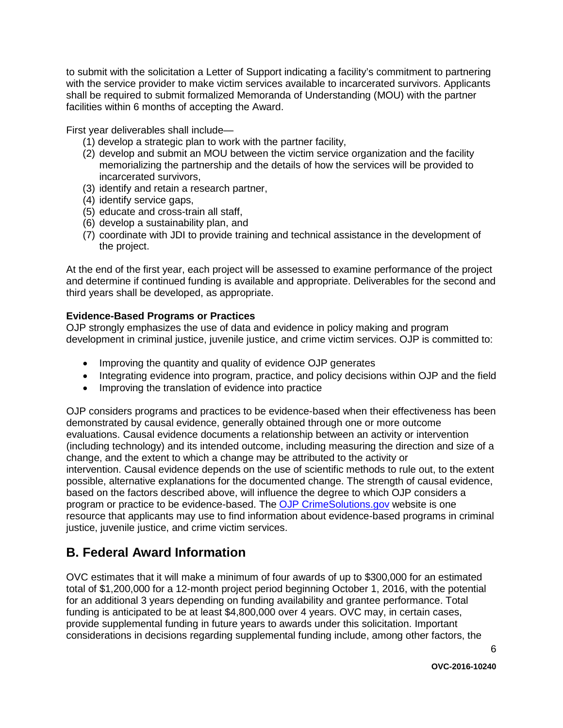to submit with the solicitation a Letter of Support indicating a facility's commitment to partnering with the service provider to make victim services available to incarcerated survivors. Applicants shall be required to submit formalized Memoranda of Understanding (MOU) with the partner facilities within 6 months of accepting the Award.

First year deliverables shall include—

- (1) develop a strategic plan to work with the partner facility,
- (2) develop and submit an MOU between the victim service organization and the facility memorializing the partnership and the details of how the services will be provided to incarcerated survivors,
- (3) identify and retain a research partner,
- (4) identify service gaps,
- (5) educate and cross-train all staff,
- (6) develop a sustainability plan, and
- (7) coordinate with JDI to provide training and technical assistance in the development of the project.

At the end of the first year, each project will be assessed to examine performance of the project and determine if continued funding is available and appropriate. Deliverables for the second and third years shall be developed, as appropriate.

#### <span id="page-5-0"></span>**Evidence-Based Programs or Practices**

OJP strongly emphasizes the use of data and evidence in policy making and program development in criminal justice, juvenile justice, and crime victim services. OJP is committed to:

- Improving the quantity and quality of evidence OJP generates
- Integrating evidence into program, practice, and policy decisions within OJP and the field
- Improving the translation of evidence into practice

OJP considers programs and practices to be evidence-based when their effectiveness has been demonstrated by causal evidence, generally obtained through one or more outcome evaluations. Causal evidence documents a relationship between an activity or intervention (including technology) and its intended outcome, including measuring the direction and size of a change, and the extent to which a change may be attributed to the activity or intervention. Causal evidence depends on the use of scientific methods to rule out, to the extent possible, alternative explanations for the documented change. The strength of causal evidence, based on the factors described above, will influence the degree to which OJP considers a program or practice to be evidence-based. The [OJP CrimeSolutions.gov](http://www.crimesolutions.gov/) website is one resource that applicants may use to find information about evidence-based programs in criminal justice, juvenile justice, and crime victim services.

## <span id="page-5-1"></span>**B. Federal Award Information**

OVC estimates that it will make a minimum of four awards of up to \$300,000 for an estimated total of \$1,200,000 for a 12-month project period beginning October 1, 2016, with the potential for an additional 3 years depending on funding availability and grantee performance. Total funding is anticipated to be at least \$4,800,000 over 4 years. OVC may, in certain cases, provide supplemental funding in future years to awards under this solicitation. Important considerations in decisions regarding supplemental funding include, among other factors, the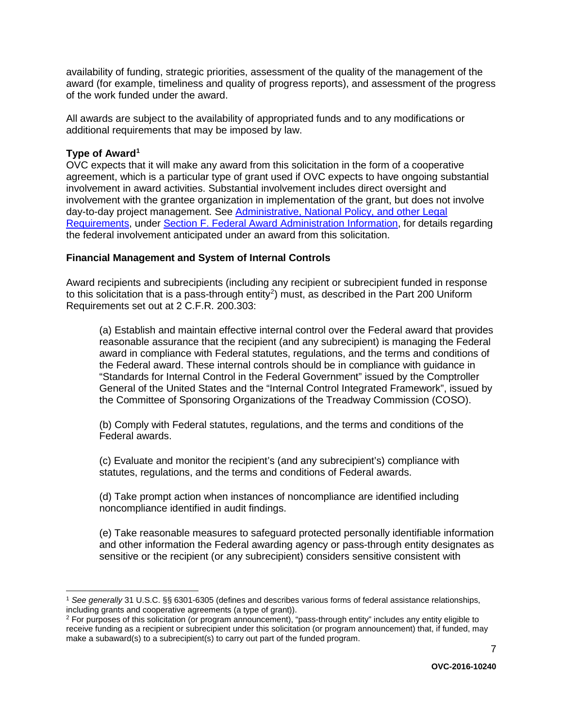availability of funding, strategic priorities, assessment of the quality of the management of the award (for example, timeliness and quality of progress reports), and assessment of the progress of the work funded under the award.

All awards are subject to the availability of appropriated funds and to any modifications or additional requirements that may be imposed by law.

#### <span id="page-6-0"></span>**Type of Award[1](#page-6-2)**

OVC expects that it will make any award from this solicitation in the form of a cooperative agreement, which is a particular type of grant used if OVC expects to have ongoing substantial involvement in award activities. Substantial involvement includes direct oversight and involvement with the grantee organization in implementation of the grant, but does not involve day-to-day project management. See Administrative, National Policy, and other Legal [Requirements,](#page-25-0) under [Section F. Federal Award Administration Information,](#page-25-0) for details regarding the federal involvement anticipated under an award from this solicitation.

#### <span id="page-6-1"></span>**Financial Management and System of Internal Controls**

Award recipients and subrecipients (including any recipient or subrecipient funded in response to this solicitation that is a pass-through entity<sup>2</sup>) must, as described in the Part 200 Uniform Requirements set out at 2 C.F.R. 200.303:

(a) Establish and maintain effective internal control over the Federal award that provides reasonable assurance that the recipient (and any subrecipient) is managing the Federal award in compliance with Federal statutes, regulations, and the terms and conditions of the Federal award. These internal controls should be in compliance with guidance in "Standards for Internal Control in the Federal Government" issued by the Comptroller General of the United States and the "Internal Control Integrated Framework", issued by the Committee of Sponsoring Organizations of the Treadway Commission (COSO).

(b) Comply with Federal statutes, regulations, and the terms and conditions of the Federal awards.

(c) Evaluate and monitor the recipient's (and any subrecipient's) compliance with statutes, regulations, and the terms and conditions of Federal awards.

(d) Take prompt action when instances of noncompliance are identified including noncompliance identified in audit findings.

(e) Take reasonable measures to safeguard protected personally identifiable information and other information the Federal awarding agency or pass-through entity designates as sensitive or the recipient (or any subrecipient) considers sensitive consistent with

<span id="page-6-2"></span> <sup>1</sup> *See generally* 31 U.S.C. §§ 6301-6305 (defines and describes various forms of federal assistance relationships, including grants and cooperative agreements (a type of grant)).<br><sup>2</sup> For purposes of this solicitation (or program announcement), "pass-through entity" includes any entity eligible to

<span id="page-6-3"></span>receive funding as a recipient or subrecipient under this solicitation (or program announcement) that, if funded, may make a subaward(s) to a subrecipient(s) to carry out part of the funded program.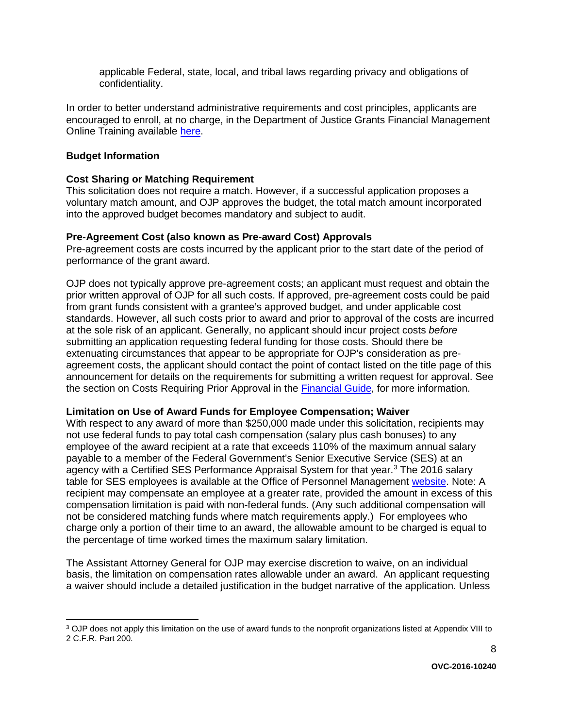applicable Federal, state, local, and tribal laws regarding privacy and obligations of confidentiality.

In order to better understand administrative requirements and cost principles, applicants are encouraged to enroll, at no charge, in the Department of Justice Grants Financial Management Online Training available [here.](http://gfm.webfirst.com/)

#### <span id="page-7-0"></span>**Budget Information**

#### <span id="page-7-1"></span>**Cost Sharing or Matching Requirement**

<span id="page-7-2"></span>This solicitation does not require a match. However, if a successful application proposes a voluntary match amount, and OJP approves the budget, the total match amount incorporated into the approved budget becomes mandatory and subject to audit.

#### **Pre-Agreement Cost (also known as Pre-award Cost) Approvals**

Pre-agreement costs are costs incurred by the applicant prior to the start date of the period of performance of the grant award.

OJP does not typically approve pre-agreement costs; an applicant must request and obtain the prior written approval of OJP for all such costs. If approved, pre-agreement costs could be paid from grant funds consistent with a grantee's approved budget, and under applicable cost standards. However, all such costs prior to award and prior to approval of the costs are incurred at the sole risk of an applicant. Generally, no applicant should incur project costs *before* submitting an application requesting federal funding for those costs. Should there be extenuating circumstances that appear to be appropriate for OJP's consideration as preagreement costs, the applicant should contact the point of contact listed on the title page of this announcement for details on the requirements for submitting a written request for approval. See the section on Costs Requiring Prior Approval in the [Financial Guide,](http://ojp.gov/financialguide/DOJ/index.htm) for more information.

#### <span id="page-7-3"></span>**Limitation on Use of Award Funds for Employee Compensation; Waiver**

With respect to any award of more than \$250,000 made under this solicitation, recipients may not use federal funds to pay total cash compensation (salary plus cash bonuses) to any employee of the award recipient at a rate that exceeds 110% of the maximum annual salary payable to a member of the Federal Government's Senior Executive Service (SES) at an agency with a Certified SES Performance Appraisal System for that year.<sup>[3](#page-7-4)</sup> The 2016 salary table for SES employees is available at the Office of Personnel Management [website.](http://www.opm.gov/policy-data-oversight/pay-leave/salaries-wages/salary-tables/16Tables/exec/html/ES.aspx) Note: A recipient may compensate an employee at a greater rate, provided the amount in excess of this compensation limitation is paid with non-federal funds. (Any such additional compensation will not be considered matching funds where match requirements apply.) For employees who charge only a portion of their time to an award, the allowable amount to be charged is equal to the percentage of time worked times the maximum salary limitation.

The Assistant Attorney General for OJP may exercise discretion to waive, on an individual basis, the limitation on compensation rates allowable under an award. An applicant requesting a waiver should include a detailed justification in the budget narrative of the application. Unless

<span id="page-7-4"></span><sup>&</sup>lt;sup>3</sup> OJP does not apply this limitation on the use of award funds to the nonprofit organizations listed at Appendix VIII to 2 C.F.R. Part 200.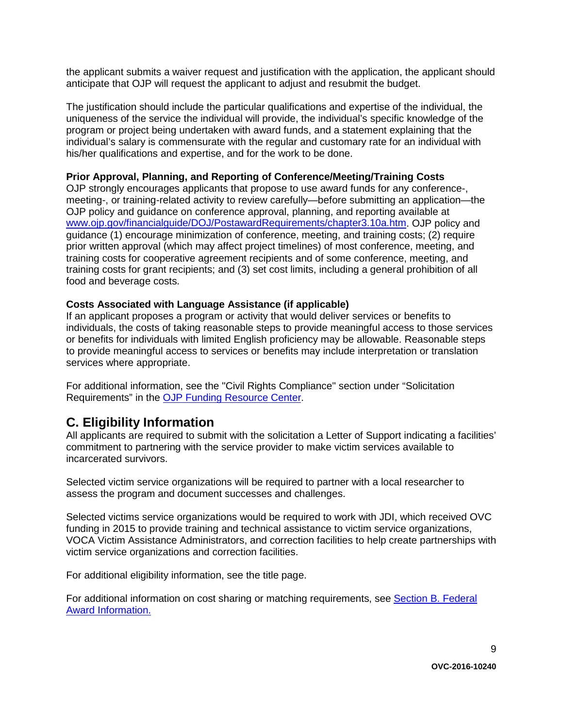the applicant submits a waiver request and justification with the application, the applicant should anticipate that OJP will request the applicant to adjust and resubmit the budget.

The justification should include the particular qualifications and expertise of the individual, the uniqueness of the service the individual will provide, the individual's specific knowledge of the program or project being undertaken with award funds, and a statement explaining that the individual's salary is commensurate with the regular and customary rate for an individual with his/her qualifications and expertise, and for the work to be done.

#### <span id="page-8-1"></span>**Prior Approval, Planning, and Reporting of Conference/Meeting/Training Costs**

OJP strongly encourages applicants that propose to use award funds for any conference-, meeting-, or training-related activity to review carefully—before submitting an application—the OJP policy and guidance on conference approval, planning, and reporting available at [www.ojp.gov/financialguide/DOJ/PostawardRequirements/chapter3.10a.htm.](http://www.ojp.gov/financialguide/DOJ/PostawardRequirements/chapter3.10a.htm) OJP policy and guidance (1) encourage minimization of conference, meeting, and training costs; (2) require prior written approval (which may affect project timelines) of most conference, meeting, and training costs for cooperative agreement recipients and of some conference, meeting, and training costs for grant recipients; and (3) set cost limits, including a general prohibition of all food and beverage costs.

#### <span id="page-8-2"></span>**Costs Associated with Language Assistance (if applicable)**

If an applicant proposes a program or activity that would deliver services or benefits to individuals, the costs of taking reasonable steps to provide meaningful access to those services or benefits for individuals with limited English proficiency may be allowable. Reasonable steps to provide meaningful access to services or benefits may include interpretation or translation services where appropriate.

For additional information, see the "Civil Rights Compliance" section under "Solicitation Requirements" in the [OJP Funding Resource Center.](http://ojp.gov/funding/index.htm)

### <span id="page-8-0"></span>**C. Eligibility Information**

All applicants are required to submit with the solicitation a Letter of Support indicating a facilities' commitment to partnering with the service provider to make victim services available to incarcerated survivors.

Selected victim service organizations will be required to partner with a local researcher to assess the program and document successes and challenges.

Selected victims service organizations would be required to work with JDI, which received OVC funding in 2015 to provide training and technical assistance to victim service organizations, VOCA Victim Assistance Administrators, and correction facilities to help create partnerships with victim service organizations and correction facilities.

For additional eligibility information, see the title page.

<span id="page-8-3"></span>For additional information on cost sharing or matching requirements, see Section [B. Federal](#page-5-1)  [Award Information.](#page-5-1)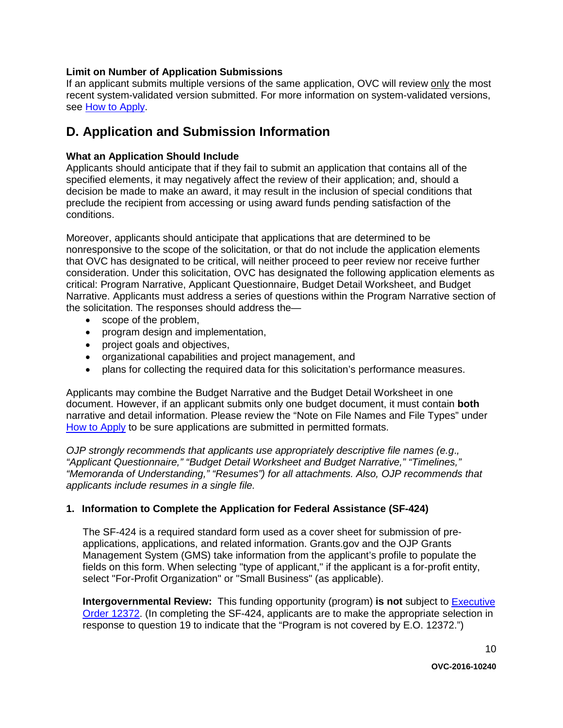#### **Limit on Number of Application Submissions**

If an applicant submits multiple versions of the same application, OVC will review only the most recent system-validated version submitted. For more information on system-validated versions, see [How to Apply.](#page-20-0)

### <span id="page-9-0"></span>**D. Application and Submission Information**

#### <span id="page-9-1"></span>**What an Application Should Include**

Applicants should anticipate that if they fail to submit an application that contains all of the specified elements, it may negatively affect the review of their application; and, should a decision be made to make an award, it may result in the inclusion of special conditions that preclude the recipient from accessing or using award funds pending satisfaction of the conditions.

Moreover, applicants should anticipate that applications that are determined to be nonresponsive to the scope of the solicitation, or that do not include the application elements that OVC has designated to be critical, will neither proceed to peer review nor receive further consideration. Under this solicitation, OVC has designated the following application elements as critical: Program Narrative, Applicant Questionnaire, Budget Detail Worksheet, and Budget Narrative. Applicants must address a series of questions within the Program Narrative section of the solicitation. The responses should address the—

- scope of the problem,
- program design and implementation,
- project goals and objectives,
- organizational capabilities and project management, and
- plans for collecting the required data for this solicitation's performance measures.

Applicants may combine the Budget Narrative and the Budget Detail Worksheet in one document. However, if an applicant submits only one budget document, it must contain **both** narrative and detail information. Please review the "Note on File Names and File Types" under [How to Apply](#page-20-0) to be sure applications are submitted in permitted formats.

*OJP strongly recommends that applicants use appropriately descriptive file names (e.g*.*, "Applicant Questionnaire," "Budget Detail Worksheet and Budget Narrative," "Timelines," "Memoranda of Understanding," "Resumes") for all attachments. Also, OJP recommends that applicants include resumes in a single file.*

#### **1. Information to Complete the Application for Federal Assistance (SF-424)**

The SF-424 is a required standard form used as a cover sheet for submission of preapplications, applications, and related information. Grants.gov and the OJP Grants Management System (GMS) take information from the applicant's profile to populate the fields on this form. When selecting "type of applicant," if the applicant is a for-profit entity, select "For-Profit Organization" or "Small Business" (as applicable).

**Intergovernmental Review:** This funding opportunity (program) **is not** subject to [Executive](http://www.archives.gov/federal-register/codification/executive-order/12372.html)  [Order 12372.](http://www.archives.gov/federal-register/codification/executive-order/12372.html) (In completing the SF-424, applicants are to make the appropriate selection in response to question 19 to indicate that the "Program is not covered by E.O. 12372.")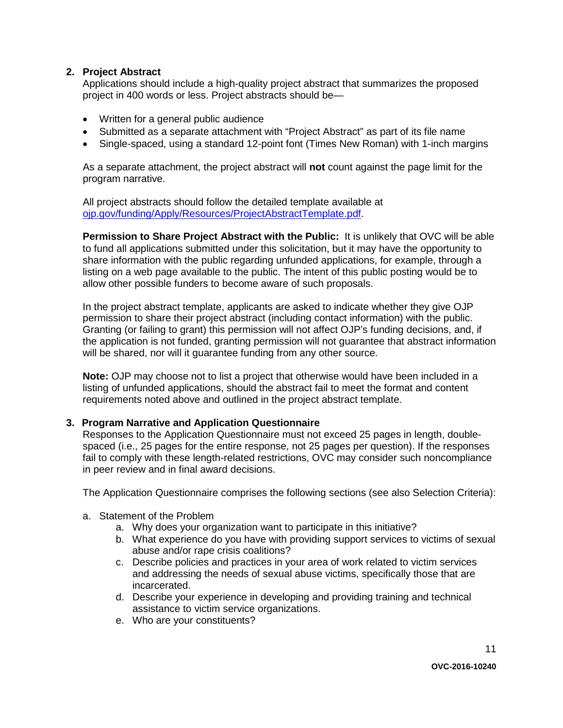#### **2. Project Abstract**

Applications should include a high-quality project abstract that summarizes the proposed project in 400 words or less. Project abstracts should be—

- Written for a general public audience
- Submitted as a separate attachment with "Project Abstract" as part of its file name
- Single-spaced, using a standard 12-point font (Times New Roman) with 1-inch margins

As a separate attachment, the project abstract will **not** count against the page limit for the program narrative.

All project abstracts should follow the detailed template available at [ojp.gov/funding/Apply/Resources/ProjectAbstractTemplate.pdf.](http://ojp.gov/funding/Apply/Resources/ProjectAbstractTemplate.pdf)

**Permission to Share Project Abstract with the Public:** It is unlikely that OVC will be able to fund all applications submitted under this solicitation, but it may have the opportunity to share information with the public regarding unfunded applications, for example, through a listing on a web page available to the public. The intent of this public posting would be to allow other possible funders to become aware of such proposals.

In the project abstract template, applicants are asked to indicate whether they give OJP permission to share their project abstract (including contact information) with the public. Granting (or failing to grant) this permission will not affect OJP's funding decisions, and, if the application is not funded, granting permission will not guarantee that abstract information will be shared, nor will it guarantee funding from any other source.

**Note:** OJP may choose not to list a project that otherwise would have been included in a listing of unfunded applications, should the abstract fail to meet the format and content requirements noted above and outlined in the project abstract template.

#### **3. Program Narrative and Application Questionnaire**

Responses to the Application Questionnaire must not exceed 25 pages in length, doublespaced (i.e., 25 pages for the entire response, not 25 pages per question). If the responses fail to comply with these length-related restrictions, OVC may consider such noncompliance in peer review and in final award decisions.

The Application Questionnaire comprises the following sections (see also Selection Criteria):

- a. Statement of the Problem
	- a. Why does your organization want to participate in this initiative?
	- b. What experience do you have with providing support services to victims of sexual abuse and/or rape crisis coalitions?
	- c. Describe policies and practices in your area of work related to victim services and addressing the needs of sexual abuse victims, specifically those that are incarcerated.
	- d. Describe your experience in developing and providing training and technical assistance to victim service organizations.
	- e. Who are your constituents?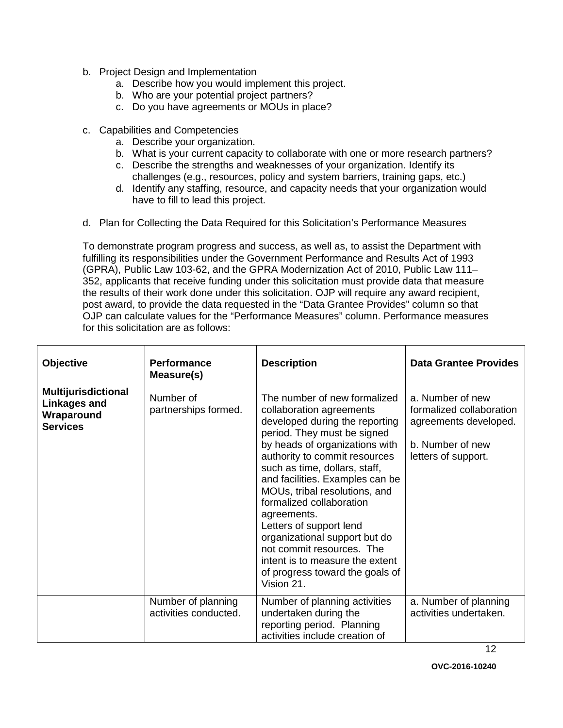- b. Project Design and Implementation
	- a. Describe how you would implement this project.
	- b. Who are your potential project partners?
	- c. Do you have agreements or MOUs in place?
- c. Capabilities and Competencies
	- a. Describe your organization.
	- b. What is your current capacity to collaborate with one or more research partners?
	- c. Describe the strengths and weaknesses of your organization. Identify its challenges (e.g., resources, policy and system barriers, training gaps, etc.)
	- d. Identify any staffing, resource, and capacity needs that your organization would have to fill to lead this project.
- d. Plan for Collecting the Data Required for this Solicitation's Performance Measures

To demonstrate program progress and success, as well as, to assist the Department with fulfilling its responsibilities under the Government Performance and Results Act of 1993 (GPRA), Public Law 103-62, and the GPRA Modernization Act of 2010, Public Law 111– 352, applicants that receive funding under this solicitation must provide data that measure the results of their work done under this solicitation. OJP will require any award recipient, post award, to provide the data requested in the "Data Grantee Provides" column so that OJP can calculate values for the "Performance Measures" column. Performance measures for this solicitation are as follows:

| Objective                                                                          | <b>Performance</b><br>Measure(s)            | <b>Description</b>                                                                                                                                                                                                                                                                                                                                                                                                                                                                                                        | <b>Data Grantee Provides</b>                                                                                     |
|------------------------------------------------------------------------------------|---------------------------------------------|---------------------------------------------------------------------------------------------------------------------------------------------------------------------------------------------------------------------------------------------------------------------------------------------------------------------------------------------------------------------------------------------------------------------------------------------------------------------------------------------------------------------------|------------------------------------------------------------------------------------------------------------------|
| <b>Multijurisdictional</b><br><b>Linkages and</b><br>Wraparound<br><b>Services</b> | Number of<br>partnerships formed.           | The number of new formalized<br>collaboration agreements<br>developed during the reporting<br>period. They must be signed<br>by heads of organizations with<br>authority to commit resources<br>such as time, dollars, staff,<br>and facilities. Examples can be<br>MOUs, tribal resolutions, and<br>formalized collaboration<br>agreements.<br>Letters of support lend<br>organizational support but do<br>not commit resources. The<br>intent is to measure the extent<br>of progress toward the goals of<br>Vision 21. | a. Number of new<br>formalized collaboration<br>agreements developed.<br>b. Number of new<br>letters of support. |
|                                                                                    | Number of planning<br>activities conducted. | Number of planning activities<br>undertaken during the<br>reporting period. Planning<br>activities include creation of                                                                                                                                                                                                                                                                                                                                                                                                    | a. Number of planning<br>activities undertaken.                                                                  |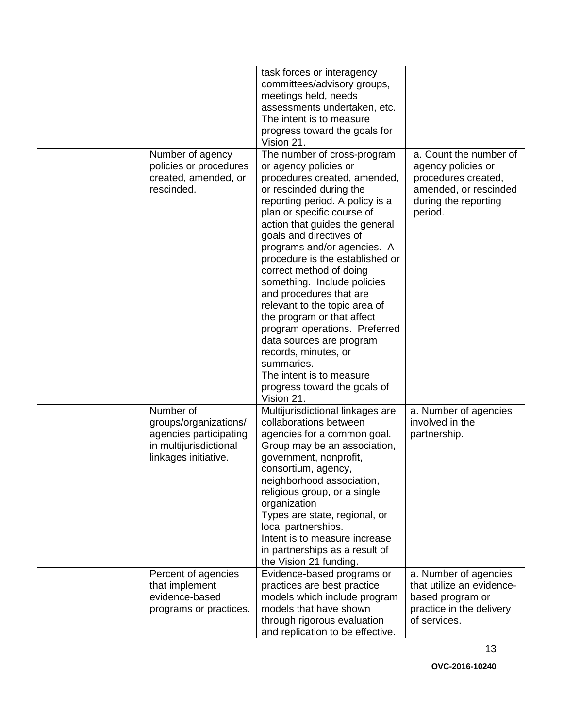|                                                                                                                | task forces or interagency<br>committees/advisory groups,<br>meetings held, needs<br>assessments undertaken, etc.<br>The intent is to measure<br>progress toward the goals for                                                                                                                                                                                                                                                                                                                                                                                                                                                                                 |                                                                                                                                 |
|----------------------------------------------------------------------------------------------------------------|----------------------------------------------------------------------------------------------------------------------------------------------------------------------------------------------------------------------------------------------------------------------------------------------------------------------------------------------------------------------------------------------------------------------------------------------------------------------------------------------------------------------------------------------------------------------------------------------------------------------------------------------------------------|---------------------------------------------------------------------------------------------------------------------------------|
| Number of agency<br>policies or procedures<br>created, amended, or<br>rescinded.                               | Vision 21.<br>The number of cross-program<br>or agency policies or<br>procedures created, amended,<br>or rescinded during the<br>reporting period. A policy is a<br>plan or specific course of<br>action that guides the general<br>goals and directives of<br>programs and/or agencies. A<br>procedure is the established or<br>correct method of doing<br>something. Include policies<br>and procedures that are<br>relevant to the topic area of<br>the program or that affect<br>program operations. Preferred<br>data sources are program<br>records, minutes, or<br>summaries.<br>The intent is to measure<br>progress toward the goals of<br>Vision 21. | a. Count the number of<br>agency policies or<br>procedures created,<br>amended, or rescinded<br>during the reporting<br>period. |
| Number of<br>groups/organizations/<br>agencies participating<br>in multijurisdictional<br>linkages initiative. | Multijurisdictional linkages are<br>collaborations between<br>agencies for a common goal.<br>Group may be an association,<br>government, nonprofit,<br>consortium, agency,<br>neighborhood association,<br>religious group, or a single<br>organization<br>Types are state, regional, or<br>local partnerships.<br>Intent is to measure increase<br>in partnerships as a result of<br>the Vision 21 funding.                                                                                                                                                                                                                                                   | a. Number of agencies<br>involved in the<br>partnership.                                                                        |
| Percent of agencies<br>that implement<br>evidence-based<br>programs or practices.                              | Evidence-based programs or<br>practices are best practice<br>models which include program<br>models that have shown<br>through rigorous evaluation<br>and replication to be effective.                                                                                                                                                                                                                                                                                                                                                                                                                                                                         | a. Number of agencies<br>that utilize an evidence-<br>based program or<br>practice in the delivery<br>of services.              |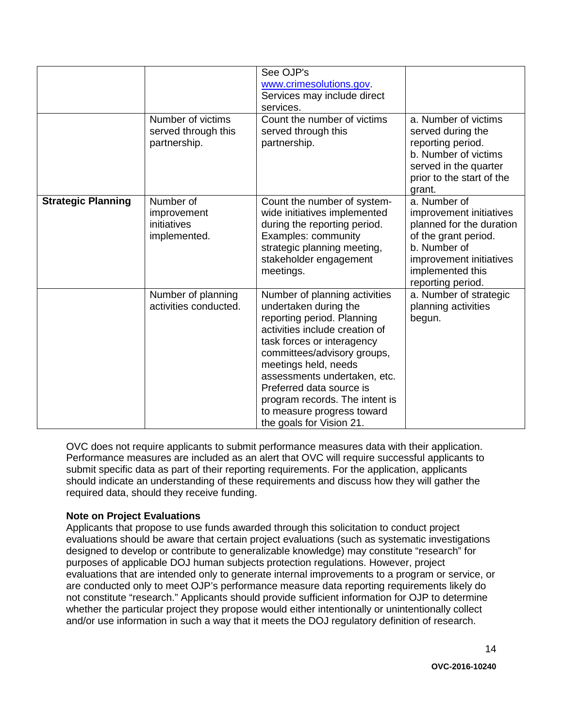|                           | Number of victims<br>served through this<br>partnership. | See OJP's<br>www.crimesolutions.gov.<br>Services may include direct<br>services.<br>Count the number of victims<br>served through this<br>partnership.                                                                                                                                                                                                              | a. Number of victims<br>served during the<br>reporting period.<br>b. Number of victims<br>served in the quarter<br>prior to the start of the<br>grant.                          |
|---------------------------|----------------------------------------------------------|---------------------------------------------------------------------------------------------------------------------------------------------------------------------------------------------------------------------------------------------------------------------------------------------------------------------------------------------------------------------|---------------------------------------------------------------------------------------------------------------------------------------------------------------------------------|
| <b>Strategic Planning</b> | Number of<br>improvement<br>initiatives<br>implemented.  | Count the number of system-<br>wide initiatives implemented<br>during the reporting period.<br>Examples: community<br>strategic planning meeting,<br>stakeholder engagement<br>meetings.                                                                                                                                                                            | a. Number of<br>improvement initiatives<br>planned for the duration<br>of the grant period.<br>b. Number of<br>improvement initiatives<br>implemented this<br>reporting period. |
|                           | Number of planning<br>activities conducted.              | Number of planning activities<br>undertaken during the<br>reporting period. Planning<br>activities include creation of<br>task forces or interagency<br>committees/advisory groups,<br>meetings held, needs<br>assessments undertaken, etc.<br>Preferred data source is<br>program records. The intent is<br>to measure progress toward<br>the goals for Vision 21. | a. Number of strategic<br>planning activities<br>begun.                                                                                                                         |

OVC does not require applicants to submit performance measures data with their application. Performance measures are included as an alert that OVC will require successful applicants to submit specific data as part of their reporting requirements. For the application, applicants should indicate an understanding of these requirements and discuss how they will gather the required data, should they receive funding.

#### **Note on Project Evaluations**

Applicants that propose to use funds awarded through this solicitation to conduct project evaluations should be aware that certain project evaluations (such as systematic investigations designed to develop or contribute to generalizable knowledge) may constitute "research" for purposes of applicable DOJ human subjects protection regulations. However, project evaluations that are intended only to generate internal improvements to a program or service, or are conducted only to meet OJP's performance measure data reporting requirements likely do not constitute "research." Applicants should provide sufficient information for OJP to determine whether the particular project they propose would either intentionally or unintentionally collect and/or use information in such a way that it meets the DOJ regulatory definition of research.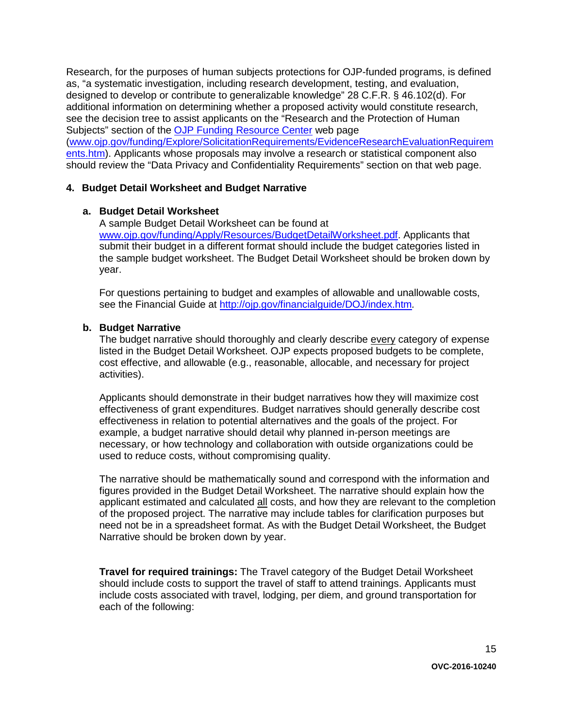Research, for the purposes of human subjects protections for OJP-funded programs, is defined as, "a systematic investigation, including research development, testing, and evaluation, designed to develop or contribute to generalizable knowledge" 28 C.F.R. § 46.102(d). For additional information on determining whether a proposed activity would constitute research, see the decision tree to assist applicants on the "Research and the Protection of Human Subjects" section of the [OJP Funding Resource Center](http://ojp.gov/funding/index.htm) web page [\(www.ojp.gov/funding/Explore/SolicitationRequirements/EvidenceResearchEvaluationRequirem](http://ojp.gov/funding/Explore/SolicitationRequirements/EvidenceResearchEvaluationRequirements.htm) [ents.htm\)](http://ojp.gov/funding/Explore/SolicitationRequirements/EvidenceResearchEvaluationRequirements.htm). Applicants whose proposals may involve a research or statistical component also should review the "Data Privacy and Confidentiality Requirements" section on that web page.

#### **4. Budget Detail Worksheet and Budget Narrative**

#### **a. Budget Detail Worksheet**

A sample Budget Detail Worksheet can be found at [www.ojp.gov/funding/Apply/Resources/BudgetDetailWorksheet.pdf.](http://ojp.gov/funding/Apply/Resources/BudgetDetailWorksheet.pdf) Applicants that submit their budget in a different format should include the budget categories listed in the sample budget worksheet. The Budget Detail Worksheet should be broken down by year.

For questions pertaining to budget and examples of allowable and unallowable costs, see the Financial Guide at<http://ojp.gov/financialguide/DOJ/index.htm>*.*

#### **b. Budget Narrative**

The budget narrative should thoroughly and clearly describe every category of expense listed in the Budget Detail Worksheet. OJP expects proposed budgets to be complete, cost effective, and allowable (e.g., reasonable, allocable, and necessary for project activities).

Applicants should demonstrate in their budget narratives how they will maximize cost effectiveness of grant expenditures. Budget narratives should generally describe cost effectiveness in relation to potential alternatives and the goals of the project. For example, a budget narrative should detail why planned in-person meetings are necessary, or how technology and collaboration with outside organizations could be used to reduce costs, without compromising quality.

The narrative should be mathematically sound and correspond with the information and figures provided in the Budget Detail Worksheet. The narrative should explain how the applicant estimated and calculated all costs, and how they are relevant to the completion of the proposed project. The narrative may include tables for clarification purposes but need not be in a spreadsheet format. As with the Budget Detail Worksheet, the Budget Narrative should be broken down by year.

**Travel for required trainings:** The Travel category of the Budget Detail Worksheet should include costs to support the travel of staff to attend trainings. Applicants must include costs associated with travel, lodging, per diem, and ground transportation for each of the following: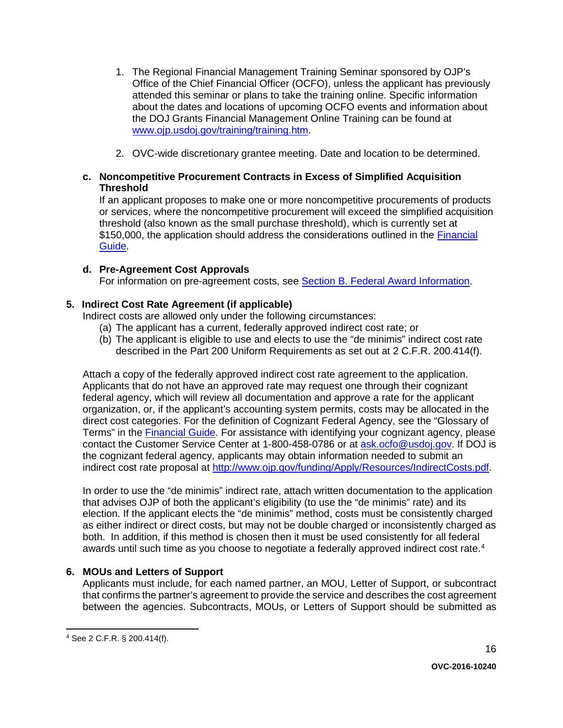- 1. The Regional Financial Management Training Seminar sponsored by OJP's Office of the Chief Financial Officer (OCFO), unless the applicant has previously attended this seminar or plans to take the training online. Specific information about the dates and locations of upcoming OCFO events and information about the DOJ Grants Financial Management Online Training can be found at [www.ojp.usdoj.gov/training/training.htm.](http://www.ojp.usdoj.gov/training/training.htm)
- 2. OVC-wide discretionary grantee meeting. Date and location to be determined.

#### **c. Noncompetitive Procurement Contracts in Excess of Simplified Acquisition Threshold**

If an applicant proposes to make one or more noncompetitive procurements of products or services, where the noncompetitive procurement will exceed the simplified acquisition threshold (also known as the small purchase threshold), which is currently set at \$150,000, the application should address the considerations outlined in the Financial [Guide.](http://ojp.gov/financialguide/DOJ/index.htm)

#### **d. Pre-Agreement Cost Approvals**

For information on pre-agreement costs, see [Section B. Federal Award Information.](#page-5-1)

#### **5. Indirect Cost Rate Agreement (if applicable)**

Indirect costs are allowed only under the following circumstances:

- (a) The applicant has a current, federally approved indirect cost rate; or
- (b) The applicant is eligible to use and elects to use the "de minimis" indirect cost rate described in the Part 200 Uniform Requirements as set out at 2 C.F.R. 200.414(f).

Attach a copy of the federally approved indirect cost rate agreement to the application. Applicants that do not have an approved rate may request one through their cognizant federal agency, which will review all documentation and approve a rate for the applicant organization, or, if the applicant's accounting system permits, costs may be allocated in the direct cost categories. For the definition of Cognizant Federal Agency, see the "Glossary of Terms" in the [Financial Guide.](http://ojp.gov/financialguide/DOJ/index.htm) For assistance with identifying your cognizant agency, please contact the Customer Service Center at 1-800-458-0786 or at [ask.ocfo@usdoj.gov.](mailto:ask.ocfo@usdoj.gov) If DOJ is the cognizant federal agency, applicants may obtain information needed to submit an indirect cost rate proposal at [http://www.ojp.gov/funding/Apply/Resources/IndirectCosts.pdf.](http://www.ojp.gov/funding/Apply/Resources/IndirectCosts.pdf)

In order to use the "de minimis" indirect rate, attach written documentation to the application that advises OJP of both the applicant's eligibility (to use the "de minimis" rate) and its election. If the applicant elects the "de minimis" method, costs must be consistently charged as either indirect or direct costs, but may not be double charged or inconsistently charged as both. In addition, if this method is chosen then it must be used consistently for all federal awards until such time as you choose to negotiate a federally approved indirect cost rate.<sup>[4](#page-15-0)</sup>

#### **6. MOUs and Letters of Support**

Applicants must include, for each named partner, an MOU, Letter of Support, or subcontract that confirms the partner's agreement to provide the service and describes the cost agreement between the agencies. Subcontracts, MOUs, or Letters of Support should be submitted as

<span id="page-15-0"></span> <sup>4</sup> See 2 C.F.R. § 200.414(f).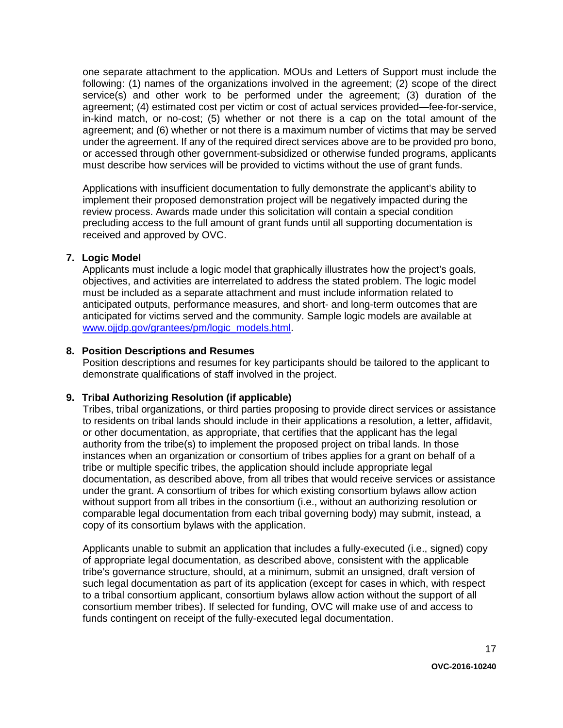one separate attachment to the application. MOUs and Letters of Support must include the following: (1) names of the organizations involved in the agreement; (2) scope of the direct service(s) and other work to be performed under the agreement; (3) duration of the agreement; (4) estimated cost per victim or cost of actual services provided—fee-for-service, in-kind match, or no-cost; (5) whether or not there is a cap on the total amount of the agreement; and (6) whether or not there is a maximum number of victims that may be served under the agreement. If any of the required direct services above are to be provided pro bono, or accessed through other government-subsidized or otherwise funded programs, applicants must describe how services will be provided to victims without the use of grant funds.

Applications with insufficient documentation to fully demonstrate the applicant's ability to implement their proposed demonstration project will be negatively impacted during the review process. Awards made under this solicitation will contain a special condition precluding access to the full amount of grant funds until all supporting documentation is received and approved by OVC.

#### **7. Logic Model**

Applicants must include a logic model that graphically illustrates how the project's goals, objectives, and activities are interrelated to address the stated problem. The logic model must be included as a separate attachment and must include information related to anticipated outputs, performance measures, and short- and long-term outcomes that are anticipated for victims served and the community. Sample logic models are available at [www.ojjdp.gov/grantees/pm/logic\\_models.html.](http://www.ojjdp.gov/grantees/pm/logic_models.html)

#### **8. Position Descriptions and Resumes**

Position descriptions and resumes for key participants should be tailored to the applicant to demonstrate qualifications of staff involved in the project.

#### **9. Tribal Authorizing Resolution (if applicable)**

Tribes, tribal organizations, or third parties proposing to provide direct services or assistance to residents on tribal lands should include in their applications a resolution, a letter, affidavit, or other documentation, as appropriate, that certifies that the applicant has the legal authority from the tribe(s) to implement the proposed project on tribal lands. In those instances when an organization or consortium of tribes applies for a grant on behalf of a tribe or multiple specific tribes, the application should include appropriate legal documentation, as described above, from all tribes that would receive services or assistance under the grant. A consortium of tribes for which existing consortium bylaws allow action without support from all tribes in the consortium (i.e., without an authorizing resolution or comparable legal documentation from each tribal governing body) may submit, instead, a copy of its consortium bylaws with the application.

Applicants unable to submit an application that includes a fully-executed (i.e., signed) copy of appropriate legal documentation, as described above, consistent with the applicable tribe's governance structure, should, at a minimum, submit an unsigned, draft version of such legal documentation as part of its application (except for cases in which, with respect to a tribal consortium applicant, consortium bylaws allow action without the support of all consortium member tribes). If selected for funding, OVC will make use of and access to funds contingent on receipt of the fully-executed legal documentation.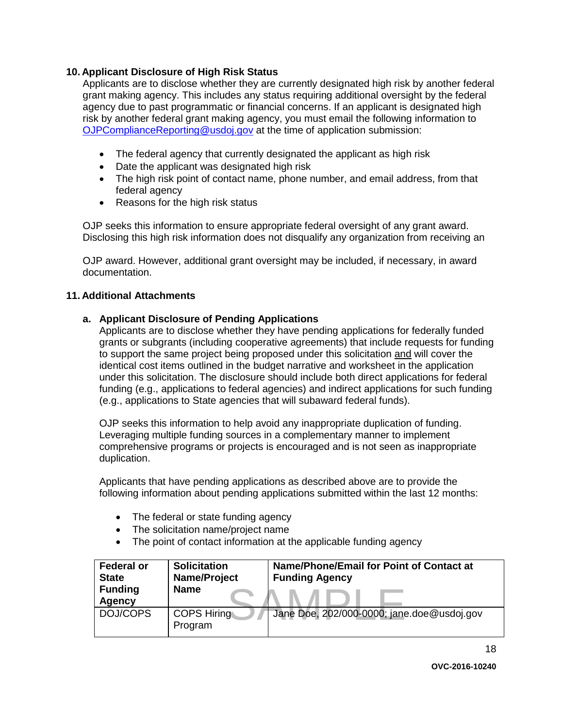#### **10. Applicant Disclosure of High Risk Status**

Applicants are to disclose whether they are currently designated high risk by another federal grant making agency. This includes any status requiring additional oversight by the federal agency due to past programmatic or financial concerns. If an applicant is designated high risk by another federal grant making agency, you must email the following information to [OJPComplianceReporting@usdoj.gov](mailto:OJPComplianceReporting@usdoj.gov) at the time of application submission:

- The federal agency that currently designated the applicant as high risk
- Date the applicant was designated high risk
- The high risk point of contact name, phone number, and email address, from that federal agency
- Reasons for the high risk status

OJP seeks this information to ensure appropriate federal oversight of any grant award. Disclosing this high risk information does not disqualify any organization from receiving an

OJP award. However, additional grant oversight may be included, if necessary, in award documentation.

#### **11. Additional Attachments**

#### **a. Applicant Disclosure of Pending Applications**

Applicants are to disclose whether they have pending applications for federally funded grants or subgrants (including cooperative agreements) that include requests for funding to support the same project being proposed under this solicitation and will cover the identical cost items outlined in the budget narrative and worksheet in the application under this solicitation. The disclosure should include both direct applications for federal funding (e.g., applications to federal agencies) and indirect applications for such funding (e.g., applications to State agencies that will subaward federal funds).

OJP seeks this information to help avoid any inappropriate duplication of funding. Leveraging multiple funding sources in a complementary manner to implement comprehensive programs or projects is encouraged and is not seen as inappropriate duplication.

Applicants that have pending applications as described above are to provide the following information about pending applications submitted within the last 12 months:

- The federal or state funding agency
- The solicitation name/project name
- The point of contact information at the applicable funding agency

| <b>Federal or</b><br><b>State</b><br><b>Funding</b><br><b>Agency</b> | <b>Solicitation</b><br>Name/Project<br><b>Name</b> | Name/Phone/Email for Point of Contact at<br><b>Funding Agency</b> |
|----------------------------------------------------------------------|----------------------------------------------------|-------------------------------------------------------------------|
| DOJ/COPS                                                             | <b>COPS Hiring</b><br>Program                      | Jane Doe, 202/000-0000; jane.doe@usdoj.gov                        |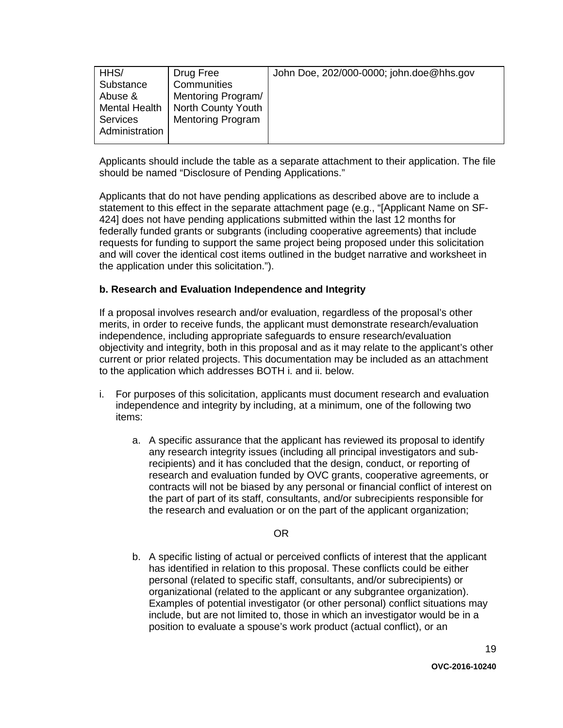Applicants should include the table as a separate attachment to their application. The file should be named "Disclosure of Pending Applications."

Applicants that do not have pending applications as described above are to include a statement to this effect in the separate attachment page (e.g., "[Applicant Name on SF-424] does not have pending applications submitted within the last 12 months for federally funded grants or subgrants (including cooperative agreements) that include requests for funding to support the same project being proposed under this solicitation and will cover the identical cost items outlined in the budget narrative and worksheet in the application under this solicitation.").

#### **b. Research and Evaluation Independence and Integrity**

If a proposal involves research and/or evaluation, regardless of the proposal's other merits, in order to receive funds, the applicant must demonstrate research/evaluation independence, including appropriate safeguards to ensure research/evaluation objectivity and integrity, both in this proposal and as it may relate to the applicant's other current or prior related projects. This documentation may be included as an attachment to the application which addresses BOTH i. and ii. below.

- i. For purposes of this solicitation, applicants must document research and evaluation independence and integrity by including, at a minimum, one of the following two items:
	- a. A specific assurance that the applicant has reviewed its proposal to identify any research integrity issues (including all principal investigators and subrecipients) and it has concluded that the design, conduct, or reporting of research and evaluation funded by OVC grants, cooperative agreements, or contracts will not be biased by any personal or financial conflict of interest on the part of part of its staff, consultants, and/or subrecipients responsible for the research and evaluation or on the part of the applicant organization;

#### OR

b. A specific listing of actual or perceived conflicts of interest that the applicant has identified in relation to this proposal. These conflicts could be either personal (related to specific staff, consultants, and/or subrecipients) or organizational (related to the applicant or any subgrantee organization). Examples of potential investigator (or other personal) conflict situations may include, but are not limited to, those in which an investigator would be in a position to evaluate a spouse's work product (actual conflict), or an

19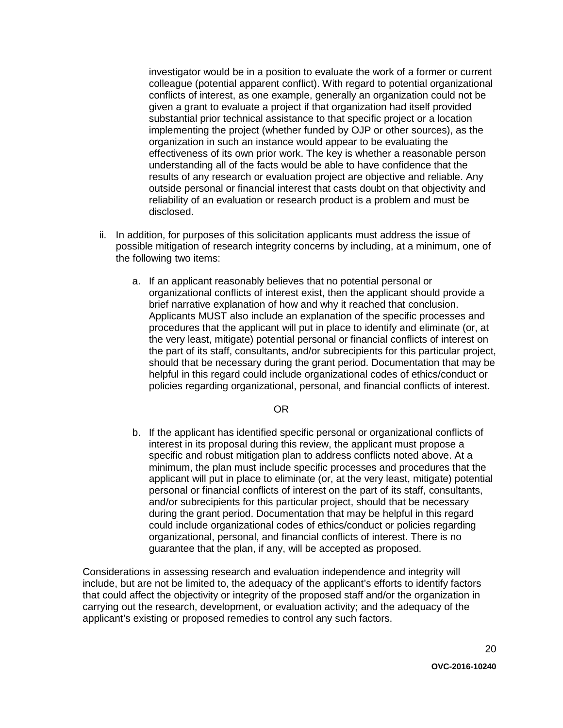investigator would be in a position to evaluate the work of a former or current colleague (potential apparent conflict). With regard to potential organizational conflicts of interest, as one example, generally an organization could not be given a grant to evaluate a project if that organization had itself provided substantial prior technical assistance to that specific project or a location implementing the project (whether funded by OJP or other sources), as the organization in such an instance would appear to be evaluating the effectiveness of its own prior work. The key is whether a reasonable person understanding all of the facts would be able to have confidence that the results of any research or evaluation project are objective and reliable. Any outside personal or financial interest that casts doubt on that objectivity and reliability of an evaluation or research product is a problem and must be disclosed.

- ii. In addition, for purposes of this solicitation applicants must address the issue of possible mitigation of research integrity concerns by including, at a minimum, one of the following two items:
	- a. If an applicant reasonably believes that no potential personal or organizational conflicts of interest exist, then the applicant should provide a brief narrative explanation of how and why it reached that conclusion. Applicants MUST also include an explanation of the specific processes and procedures that the applicant will put in place to identify and eliminate (or, at the very least, mitigate) potential personal or financial conflicts of interest on the part of its staff, consultants, and/or subrecipients for this particular project, should that be necessary during the grant period. Documentation that may be helpful in this regard could include organizational codes of ethics/conduct or policies regarding organizational, personal, and financial conflicts of interest.

#### OR

b. If the applicant has identified specific personal or organizational conflicts of interest in its proposal during this review, the applicant must propose a specific and robust mitigation plan to address conflicts noted above. At a minimum, the plan must include specific processes and procedures that the applicant will put in place to eliminate (or, at the very least, mitigate) potential personal or financial conflicts of interest on the part of its staff, consultants, and/or subrecipients for this particular project, should that be necessary during the grant period. Documentation that may be helpful in this regard could include organizational codes of ethics/conduct or policies regarding organizational, personal, and financial conflicts of interest. There is no guarantee that the plan, if any, will be accepted as proposed.

Considerations in assessing research and evaluation independence and integrity will include, but are not be limited to, the adequacy of the applicant's efforts to identify factors that could affect the objectivity or integrity of the proposed staff and/or the organization in carrying out the research, development, or evaluation activity; and the adequacy of the applicant's existing or proposed remedies to control any such factors.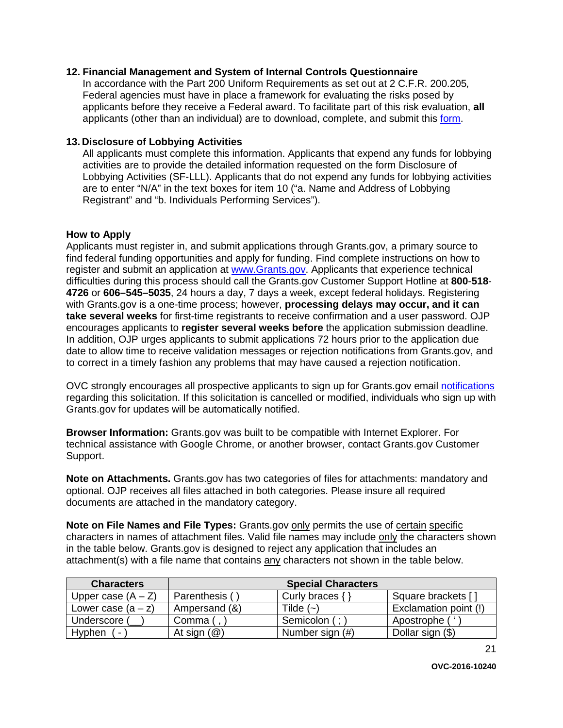#### **12. Financial Management and System of Internal Controls Questionnaire**

In accordance with the Part 200 Uniform Requirements as set out at 2 C.F.R. 200.205*,* Federal agencies must have in place a framework for evaluating the risks posed by applicants before they receive a Federal award. To facilitate part of this risk evaluation, **all** applicants (other than an individual) are to download, complete, and submit this [form.](http://ojp.gov/funding/Apply/Resources/FinancialCapability.pdf)

#### **13. Disclosure of Lobbying Activities**

All applicants must complete this information. Applicants that expend any funds for lobbying activities are to provide the detailed information requested on the form Disclosure of Lobbying Activities (SF-LLL). Applicants that do not expend any funds for lobbying activities are to enter "N/A" in the text boxes for item 10 ("a. Name and Address of Lobbying Registrant" and "b. Individuals Performing Services").

#### <span id="page-20-0"></span>**How to Apply**

Applicants must register in, and submit applications through Grants.gov, a primary source to find federal funding opportunities and apply for funding. Find complete instructions on how to register and submit an application at [www.Grants.gov.](http://www.grants.gov/) Applicants that experience technical difficulties during this process should call the Grants.gov Customer Support Hotline at **800**-**518**- **4726** or **606–545–5035**, 24 hours a day, 7 days a week, except federal holidays. Registering with Grants.gov is a one-time process; however, **processing delays may occur, and it can take several weeks** for first-time registrants to receive confirmation and a user password. OJP encourages applicants to **register several weeks before** the application submission deadline. In addition, OJP urges applicants to submit applications 72 hours prior to the application due date to allow time to receive validation messages or rejection notifications from Grants.gov, and to correct in a timely fashion any problems that may have caused a rejection notification.

OVC strongly encourages all prospective applicants to sign up for Grants.gov email [notifications](http://www.grants.gov/web/grants/manage-subscriptions.html) regarding this solicitation. If this solicitation is cancelled or modified, individuals who sign up with Grants.gov for updates will be automatically notified.

**Browser Information:** Grants.gov was built to be compatible with Internet Explorer. For technical assistance with Google Chrome, or another browser, contact Grants.gov Customer Support.

**Note on Attachments.** Grants.gov has two categories of files for attachments: mandatory and optional. OJP receives all files attached in both categories. Please insure all required documents are attached in the mandatory category.

**Note on File Names and File Types:** Grants.gov only permits the use of certain specific characters in names of attachment files. Valid file names may include only the characters shown in the table below. Grants.gov is designed to reject any application that includes an attachment(s) with a file name that contains any characters not shown in the table below.

| <b>Characters</b>                  |                         | <b>Special Characters</b> |                       |
|------------------------------------|-------------------------|---------------------------|-----------------------|
| Upper case $(A - Z)$               | Parenthesis (           | Curly braces {            | Square brackets [     |
| Lower case $(a - z)$               | Ampersand (&)           | Tilde (~)                 | Exclamation point (!) |
| Underscore (                       | Comma (                 | Semicolon (; )            | Apostrophe ('         |
| Hyphen<br>$\overline{\phantom{a}}$ | At sign $(\mathcal{Q})$ | Number sign (#)           | Dollar sign (\$)      |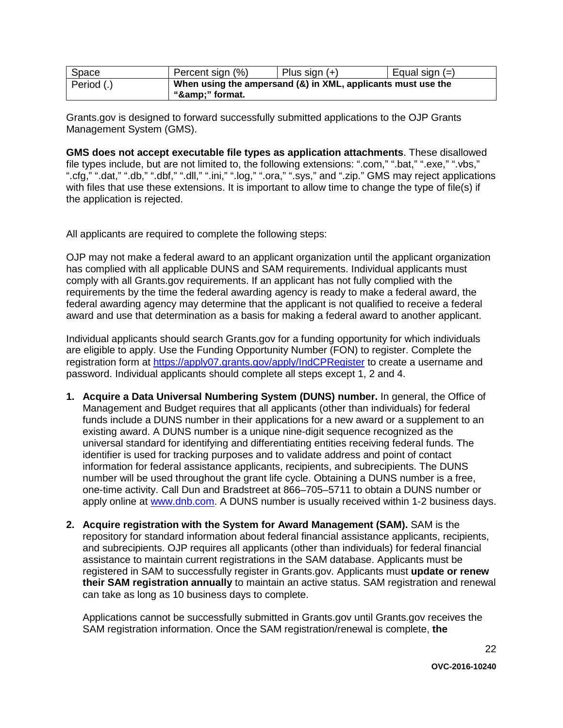| Space              | Percent sign (%) | Plus sign $(+)$                                              | Equal sign $(=)$ |
|--------------------|------------------|--------------------------------------------------------------|------------------|
| $\vert$ Period (.) |                  | When using the ampersand (&) in XML, applicants must use the |                  |
|                    | "&" format.      |                                                              |                  |

Grants.gov is designed to forward successfully submitted applications to the OJP Grants Management System (GMS).

**GMS does not accept executable file types as application attachments**. These disallowed file types include, but are not limited to, the following extensions: ".com," ".bat," ".exe," ".vbs," ".cfg," ".dat," ".db," ".dbf," ".dll," ".ini," ".log," ".ora," ".sys," and ".zip." GMS may reject applications with files that use these extensions. It is important to allow time to change the type of file(s) if the application is rejected.

All applicants are required to complete the following steps:

OJP may not make a federal award to an applicant organization until the applicant organization has complied with all applicable DUNS and SAM requirements. Individual applicants must comply with all Grants.gov requirements. If an applicant has not fully complied with the requirements by the time the federal awarding agency is ready to make a federal award, the federal awarding agency may determine that the applicant is not qualified to receive a federal award and use that determination as a basis for making a federal award to another applicant.

Individual applicants should search Grants.gov for a funding opportunity for which individuals are eligible to apply. Use the Funding Opportunity Number (FON) to register. Complete the registration form at<https://apply07.grants.gov/apply/IndCPRegister> to create a username and password. Individual applicants should complete all steps except 1, 2 and 4.

- **1. Acquire a Data Universal Numbering System (DUNS) number.** In general, the Office of Management and Budget requires that all applicants (other than individuals) for federal funds include a DUNS number in their applications for a new award or a supplement to an existing award. A DUNS number is a unique nine-digit sequence recognized as the universal standard for identifying and differentiating entities receiving federal funds. The identifier is used for tracking purposes and to validate address and point of contact information for federal assistance applicants, recipients, and subrecipients. The DUNS number will be used throughout the grant life cycle. Obtaining a DUNS number is a free, one-time activity. Call Dun and Bradstreet at 866–705–5711 to obtain a DUNS number or apply online at [www.dnb.com.](http://www.dnb.com/) A DUNS number is usually received within 1-2 business days.
- **2. Acquire registration with the System for Award Management (SAM).** SAM is the repository for standard information about federal financial assistance applicants, recipients, and subrecipients. OJP requires all applicants (other than individuals) for federal financial assistance to maintain current registrations in the SAM database. Applicants must be registered in SAM to successfully register in Grants.gov. Applicants must **update or renew their SAM registration annually** to maintain an active status. SAM registration and renewal can take as long as 10 business days to complete.

Applications cannot be successfully submitted in Grants.gov until Grants.gov receives the SAM registration information. Once the SAM registration/renewal is complete, **the**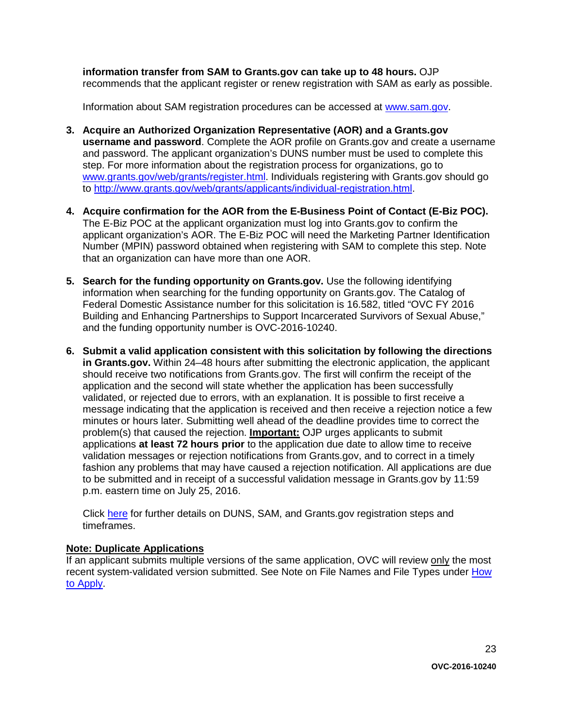**information transfer from SAM to Grants.gov can take up to 48 hours.** OJP recommends that the applicant register or renew registration with SAM as early as possible.

Information about SAM registration procedures can be accessed at [www.sam.gov.](https://www.sam.gov/portal/public/SAM/?portal:componentId=1f834b82-3fed-4eb3-a1f8-ea1f226a7955&portal:type=action&interactionstate=JBPNS_rO0ABXc0ABBfanNmQnJpZGdlVmlld0lkAAAAAQATL2pzZi9uYXZpZ2F0aW9uLmpzcAAHX19FT0ZfXw**)

- **3. Acquire an Authorized Organization Representative (AOR) and a Grants.gov username and password**. Complete the AOR profile on Grants.gov and create a username and password. The applicant organization's DUNS number must be used to complete this step. For more information about the registration process for organizations, go to [www.grants.gov/web/grants/register.html.](http://www.grants.gov/web/grants/register.html) Individuals registering with Grants.gov should go to [http://www.grants.gov/web/grants/applicants/individual-registration.html.](http://www.grants.gov/web/grants/applicants/individual-registration.html)
- **4. Acquire confirmation for the AOR from the E-Business Point of Contact (E-Biz POC).**  The E-Biz POC at the applicant organization must log into Grants.gov to confirm the applicant organization's AOR. The E-Biz POC will need the Marketing Partner Identification Number (MPIN) password obtained when registering with SAM to complete this step. Note that an organization can have more than one AOR.
- **5. Search for the funding opportunity on Grants.gov.** Use the following identifying information when searching for the funding opportunity on Grants.gov. The Catalog of Federal Domestic Assistance number for this solicitation is 16.582, titled "OVC FY 2016 Building and Enhancing Partnerships to Support Incarcerated Survivors of Sexual Abuse," and the funding opportunity number is OVC-2016-10240.
- **6. Submit a valid application consistent with this solicitation by following the directions in Grants.gov.** Within 24–48 hours after submitting the electronic application, the applicant should receive two notifications from Grants.gov. The first will confirm the receipt of the application and the second will state whether the application has been successfully validated, or rejected due to errors, with an explanation. It is possible to first receive a message indicating that the application is received and then receive a rejection notice a few minutes or hours later. Submitting well ahead of the deadline provides time to correct the problem(s) that caused the rejection. **Important:** OJP urges applicants to submit applications **at least 72 hours prior** to the application due date to allow time to receive validation messages or rejection notifications from Grants.gov, and to correct in a timely fashion any problems that may have caused a rejection notification. All applications are due to be submitted and in receipt of a successful validation message in Grants.gov by 11:59 p.m. eastern time on July 25, 2016.

Click [here](http://www.grants.gov/web/grants/applicants/organization-registration.html) for further details on DUNS, SAM, and Grants.gov registration steps and timeframes.

#### **Note: Duplicate Applications**

If an applicant submits multiple versions of the same application, OVC will review only the most recent system-validated version submitted. See Note on File Names and File Types under [How](#page-20-0)  [to Apply.](#page-20-0)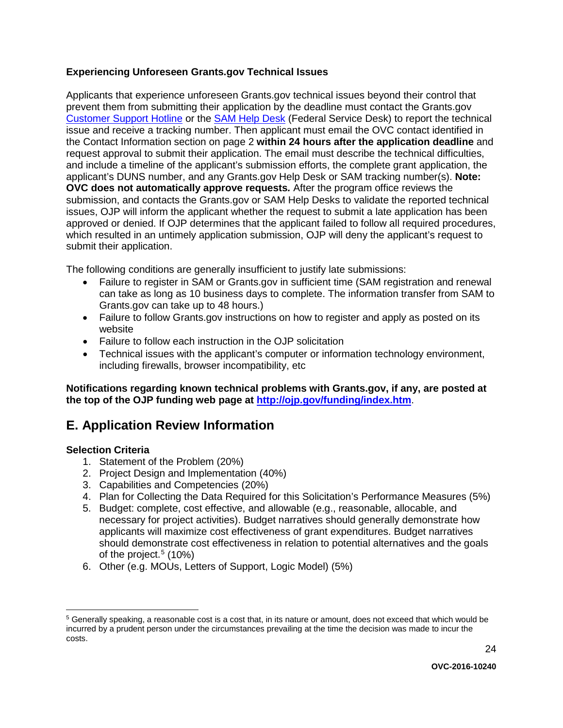#### **Experiencing Unforeseen Grants.gov Technical Issues**

Applicants that experience unforeseen Grants.gov technical issues beyond their control that prevent them from submitting their application by the deadline must contact the Grants.gov [Customer Support Hotline](http://www.grants.gov/web/grants/about/contact-us.html) or the [SAM Help Desk](https://www.fsd.gov/fsd-gov/home.do) (Federal Service Desk) to report the technical issue and receive a tracking number. Then applicant must email the OVC contact identified in the Contact Information section on page 2 **within 24 hours after the application deadline** and request approval to submit their application. The email must describe the technical difficulties, and include a timeline of the applicant's submission efforts, the complete grant application, the applicant's DUNS number, and any Grants.gov Help Desk or SAM tracking number(s). **Note: OVC does not automatically approve requests***.* After the program office reviews the submission, and contacts the Grants.gov or SAM Help Desks to validate the reported technical issues, OJP will inform the applicant whether the request to submit a late application has been approved or denied. If OJP determines that the applicant failed to follow all required procedures, which resulted in an untimely application submission, OJP will deny the applicant's request to submit their application.

The following conditions are generally insufficient to justify late submissions:

- Failure to register in SAM or Grants.gov in sufficient time (SAM registration and renewal can take as long as 10 business days to complete. The information transfer from SAM to Grants.gov can take up to 48 hours.)
- Failure to follow Grants.gov instructions on how to register and apply as posted on its website
- Failure to follow each instruction in the OJP solicitation
- Technical issues with the applicant's computer or information technology environment, including firewalls, browser incompatibility, etc

**Notifications regarding known technical problems with Grants.gov, if any, are posted at the top of the OJP funding web page at <http://ojp.gov/funding/index.htm>**.

### <span id="page-23-0"></span>**E. Application Review Information**

#### <span id="page-23-1"></span>**Selection Criteria**

- 1. Statement of the Problem (20%)
- 2. Project Design and Implementation (40%)
- 3. Capabilities and Competencies (20%)
- 4. Plan for Collecting the Data Required for this Solicitation's Performance Measures (5%)
- 5. Budget: complete, cost effective, and allowable (e.g., reasonable, allocable, and necessary for project activities). Budget narratives should generally demonstrate how applicants will maximize cost effectiveness of grant expenditures. Budget narratives should demonstrate cost effectiveness in relation to potential alternatives and the goals of the project. [5](#page-23-3) (10%)
- <span id="page-23-2"></span>6. Other (e.g. MOUs, Letters of Support, Logic Model) (5%)

<span id="page-23-3"></span> <sup>5</sup> Generally speaking, a reasonable cost is a cost that, in its nature or amount, does not exceed that which would be incurred by a prudent person under the circumstances prevailing at the time the decision was made to incur the costs.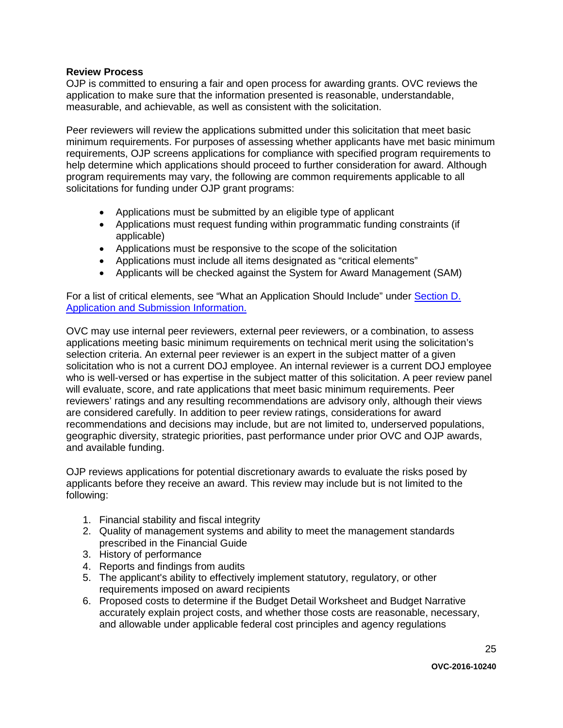#### **Review Process**

OJP is committed to ensuring a fair and open process for awarding grants. OVC reviews the application to make sure that the information presented is reasonable, understandable, measurable, and achievable, as well as consistent with the solicitation.

Peer reviewers will review the applications submitted under this solicitation that meet basic minimum requirements. For purposes of assessing whether applicants have met basic minimum requirements, OJP screens applications for compliance with specified program requirements to help determine which applications should proceed to further consideration for award. Although program requirements may vary, the following are common requirements applicable to all solicitations for funding under OJP grant programs:

- Applications must be submitted by an eligible type of applicant
- Applications must request funding within programmatic funding constraints (if applicable)
- Applications must be responsive to the scope of the solicitation
- Applications must include all items designated as "critical elements"
- Applicants will be checked against the System for Award Management (SAM)

For a list of critical elements, see "What an Application Should Include" under Section D. [Application and Submission](#page-9-0) Information.

OVC may use internal peer reviewers, external peer reviewers, or a combination, to assess applications meeting basic minimum requirements on technical merit using the solicitation's selection criteria. An external peer reviewer is an expert in the subject matter of a given solicitation who is not a current DOJ employee. An internal reviewer is a current DOJ employee who is well-versed or has expertise in the subject matter of this solicitation. A peer review panel will evaluate, score, and rate applications that meet basic minimum requirements. Peer reviewers' ratings and any resulting recommendations are advisory only, although their views are considered carefully. In addition to peer review ratings, considerations for award recommendations and decisions may include, but are not limited to, underserved populations, geographic diversity, strategic priorities, past performance under prior OVC and OJP awards, and available funding.

OJP reviews applications for potential discretionary awards to evaluate the risks posed by applicants before they receive an award. This review may include but is not limited to the following:

- 1. Financial stability and fiscal integrity
- 2. Quality of management systems and ability to meet the management standards prescribed in the Financial Guide
- 3. History of performance
- 4. Reports and findings from audits
- 5. The applicant's ability to effectively implement statutory, regulatory, or other requirements imposed on award recipients
- 6. Proposed costs to determine if the Budget Detail Worksheet and Budget Narrative accurately explain project costs, and whether those costs are reasonable, necessary, and allowable under applicable federal cost principles and agency regulations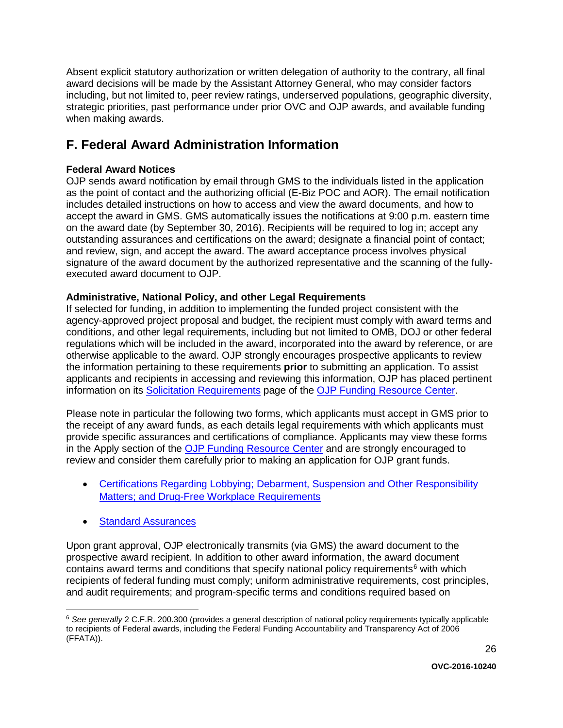Absent explicit statutory authorization or written delegation of authority to the contrary, all final award decisions will be made by the Assistant Attorney General, who may consider factors including, but not limited to, peer review ratings, underserved populations, geographic diversity, strategic priorities, past performance under prior OVC and OJP awards, and available funding when making awards.

# <span id="page-25-0"></span>**F. Federal Award Administration Information**

#### <span id="page-25-1"></span>**Federal Award Notices**

OJP sends award notification by email through GMS to the individuals listed in the application as the point of contact and the authorizing official (E-Biz POC and AOR). The email notification includes detailed instructions on how to access and view the award documents, and how to accept the award in GMS. GMS automatically issues the notifications at 9:00 p.m. eastern time on the award date (by September 30, 2016). Recipients will be required to log in; accept any outstanding assurances and certifications on the award; designate a financial point of contact; and review, sign, and accept the award. The award acceptance process involves physical signature of the award document by the authorized representative and the scanning of the fullyexecuted award document to OJP.

#### <span id="page-25-2"></span>**Administrative, National Policy, and other Legal Requirements**

If selected for funding, in addition to implementing the funded project consistent with the agency-approved project proposal and budget, the recipient must comply with award terms and conditions, and other legal requirements, including but not limited to OMB, DOJ or other federal regulations which will be included in the award, incorporated into the award by reference, or are otherwise applicable to the award. OJP strongly encourages prospective applicants to review the information pertaining to these requirements **prior** to submitting an application. To assist applicants and recipients in accessing and reviewing this information, OJP has placed pertinent information on its [Solicitation Requirements](http://ojp.gov/funding/Explore/SolicitationRequirements/index.htm) page of the [OJP Funding Resource Center.](http://ojp.gov/funding/index.htm)

Please note in particular the following two forms, which applicants must accept in GMS prior to the receipt of any award funds, as each details legal requirements with which applicants must provide specific assurances and certifications of compliance. Applicants may view these forms in the Apply section of the [OJP Funding Resource Center](http://ojp.gov/funding/index.htm) and are strongly encouraged to review and consider them carefully prior to making an application for OJP grant funds.

- [Certifications Regarding Lobbying; Debarment, Suspension and Other Responsibility](http://ojp.gov/funding/Apply/Resources/Certifications.pdf)  [Matters; and Drug-Free Workplace Requirements](http://ojp.gov/funding/Apply/Resources/Certifications.pdf)
- **[Standard Assurances](http://ojp.gov/funding/Apply/Resources/StandardAssurances.pdf)**

Upon grant approval, OJP electronically transmits (via GMS) the award document to the prospective award recipient. In addition to other award information, the award document contains award terms and conditions that specify national policy requirements<sup>[6](#page-25-3)</sup> with which recipients of federal funding must comply; uniform administrative requirements, cost principles, and audit requirements; and program-specific terms and conditions required based on

<span id="page-25-3"></span> <sup>6</sup> *See generally* 2 C.F.R. 200.300 (provides a general description of national policy requirements typically applicable to recipients of Federal awards, including the Federal Funding Accountability and Transparency Act of 2006 (FFATA)).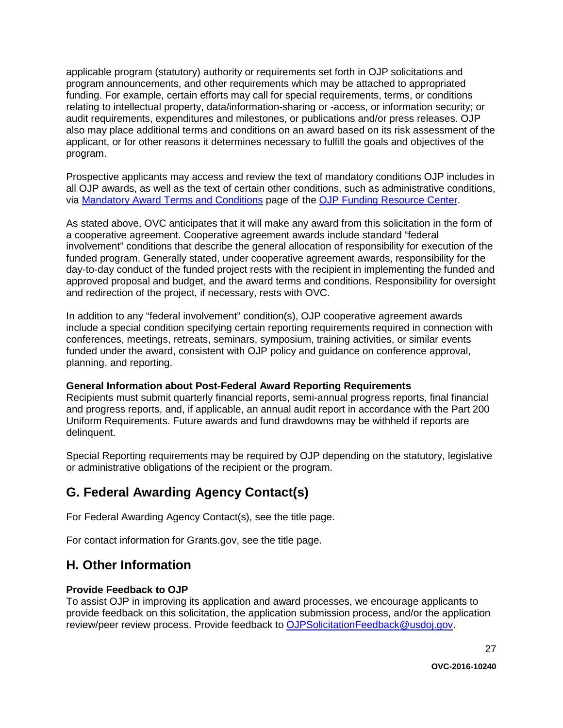applicable program (statutory) authority or requirements set forth in OJP solicitations and program announcements, and other requirements which may be attached to appropriated funding. For example, certain efforts may call for special requirements, terms, or conditions relating to intellectual property, data/information-sharing or -access, or information security; or audit requirements, expenditures and milestones, or publications and/or press releases. OJP also may place additional terms and conditions on an award based on its risk assessment of the applicant, or for other reasons it determines necessary to fulfill the goals and objectives of the program.

Prospective applicants may access and review the text of mandatory conditions OJP includes in all OJP awards, as well as the text of certain other conditions, such as administrative conditions, via [Mandatory Award Terms and Conditions](http://ojp.gov/funding/Explore/SolicitationRequirements/MandatoryTermsConditions.htm) page of the [OJP Funding Resource Center.](http://ojp.gov/funding/index.htm)

As stated above, OVC anticipates that it will make any award from this solicitation in the form of a cooperative agreement. Cooperative agreement awards include standard "federal involvement" conditions that describe the general allocation of responsibility for execution of the funded program. Generally stated, under cooperative agreement awards, responsibility for the day-to-day conduct of the funded project rests with the recipient in implementing the funded and approved proposal and budget, and the award terms and conditions. Responsibility for oversight and redirection of the project, if necessary, rests with OVC.

In addition to any "federal involvement" condition(s), OJP cooperative agreement awards include a special condition specifying certain reporting requirements required in connection with conferences, meetings, retreats, seminars, symposium, training activities, or similar events funded under the award, consistent with OJP policy and guidance on conference approval, planning, and reporting.

#### <span id="page-26-0"></span>**General Information about Post-Federal Award Reporting Requirements**

Recipients must submit quarterly financial reports, semi-annual progress reports, final financial and progress reports, and, if applicable, an annual audit report in accordance with the Part 200 Uniform Requirements. Future awards and fund drawdowns may be withheld if reports are delinquent.

Special Reporting requirements may be required by OJP depending on the statutory, legislative or administrative obligations of the recipient or the program.

## <span id="page-26-1"></span>**G. Federal Awarding Agency Contact(s)**

For Federal Awarding Agency Contact(s), see the title page.

For contact information for Grants.gov, see the title page.

## <span id="page-26-2"></span>**H. Other Information**

#### <span id="page-26-3"></span>**Provide Feedback to OJP**

To assist OJP in improving its application and award processes, we encourage applicants to provide feedback on this solicitation, the application submission process, and/or the application review/peer review process. Provide feedback to [OJPSolicitationFeedback@usdoj.gov.](mailto:OJPSolicitationFeedback@usdoj.gov)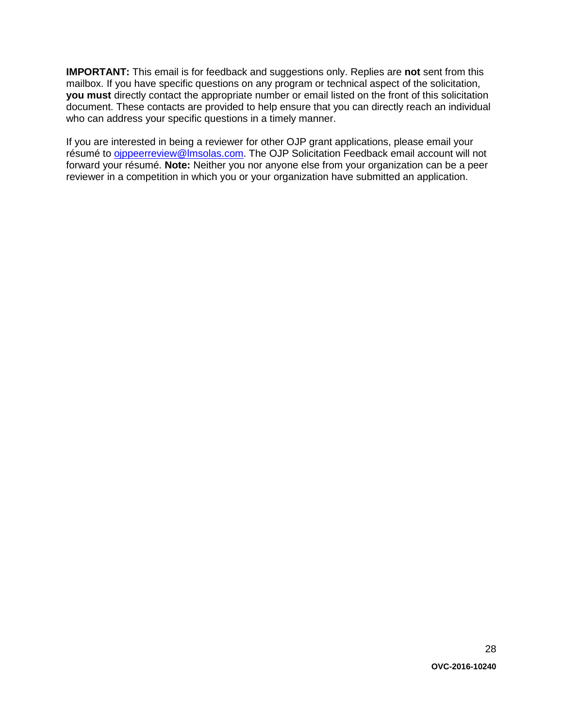**IMPORTANT:** This email is for feedback and suggestions only. Replies are **not** sent from this mailbox. If you have specific questions on any program or technical aspect of the solicitation, **you must** directly contact the appropriate number or email listed on the front of this solicitation document. These contacts are provided to help ensure that you can directly reach an individual who can address your specific questions in a timely manner.

If you are interested in being a reviewer for other OJP grant applications, please email your résumé to [ojppeerreview@lmsolas.com.](mailto:ojppeerreview@lmsolas.com) The OJP Solicitation Feedback email account will not forward your résumé. **Note:** Neither you nor anyone else from your organization can be a peer reviewer in a competition in which you or your organization have submitted an application.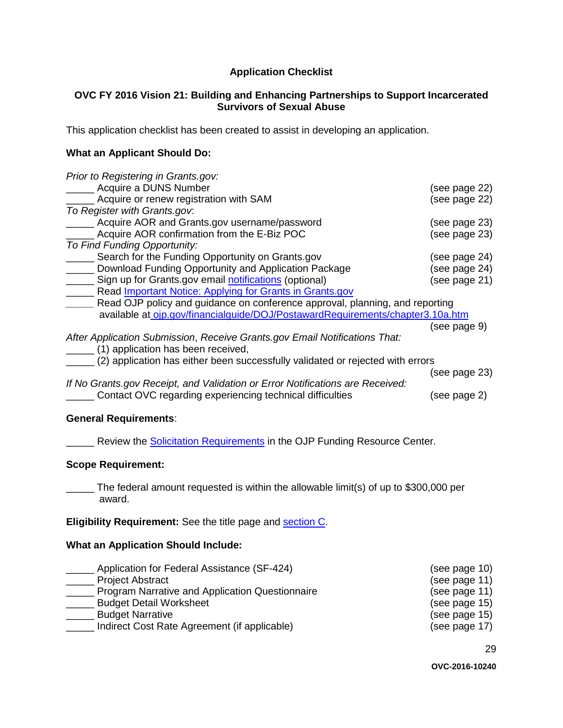#### **Application Checklist**

#### <span id="page-28-0"></span>**OVC FY 2016 Vision 21: Building and Enhancing Partnerships to Support Incarcerated Survivors of Sexual Abuse**

This application checklist has been created to assist in developing an application.

#### **What an Applicant Should Do:**

| Prior to Registering in Grants.gov:                                            |               |
|--------------------------------------------------------------------------------|---------------|
| <b>Example 2</b> Acquire a DUNS Number                                         | (see page 22) |
| Acquire or renew registration with SAM                                         | (see page 22) |
| To Register with Grants.gov.                                                   |               |
| Acquire AOR and Grants.gov username/password                                   | (see page 23) |
| Acquire AOR confirmation from the E-Biz POC                                    | (see page 23) |
| To Find Funding Opportunity:                                                   |               |
| Search for the Funding Opportunity on Grants.gov                               | (see page 24) |
| Download Funding Opportunity and Application Package                           | (see page 24) |
| Sign up for Grants.gov email notifications (optional)                          | (see page 21) |
| Read <b>Important Notice: Applying for Grants in Grants.gov</b>                |               |
| Read OJP policy and guidance on conference approval, planning, and reporting   |               |
| available at ojp.gov/financialguide/DOJ/PostawardRequirements/chapter3.10a.htm |               |
|                                                                                | (see page 9)  |
| After Application Submission, Receive Grants.gov Email Notifications That:     |               |
| (1) application has been received,                                             |               |
| (2) application has either been successfully validated or rejected with errors |               |
|                                                                                | (see page 23) |
| If No Grants.gov Receipt, and Validation or Error Notifications are Received:  |               |
| Contact OVC regarding experiencing technical difficulties                      | (see page 2)  |
|                                                                                |               |

#### **General Requirements**:

**EXECUTE:** Review the [Solicitation Requirements](http://ojp.gov/funding/Explore/SolicitationRequirements/index.htm) in the OJP Funding Resource Center.

#### **Scope Requirement:**

\_\_\_\_\_ The federal amount requested is within the allowable limit(s) of up to \$300,000 per award.

**Eligibility Requirement:** See the title page and [section C.](#page-8-0)

#### **What an Application Should Include:**

| Application for Federal Assistance (SF-424)     | (see page 10) |
|-------------------------------------------------|---------------|
| <b>Project Abstract</b>                         | (see page 11) |
| Program Narrative and Application Questionnaire | (see page 11) |
| <b>Budget Detail Worksheet</b>                  | (see page 15) |
| <b>Budget Narrative</b>                         | (see page 15) |
| Indirect Cost Rate Agreement (if applicable)    | (see page 17) |

29

**OVC-2016-10240**